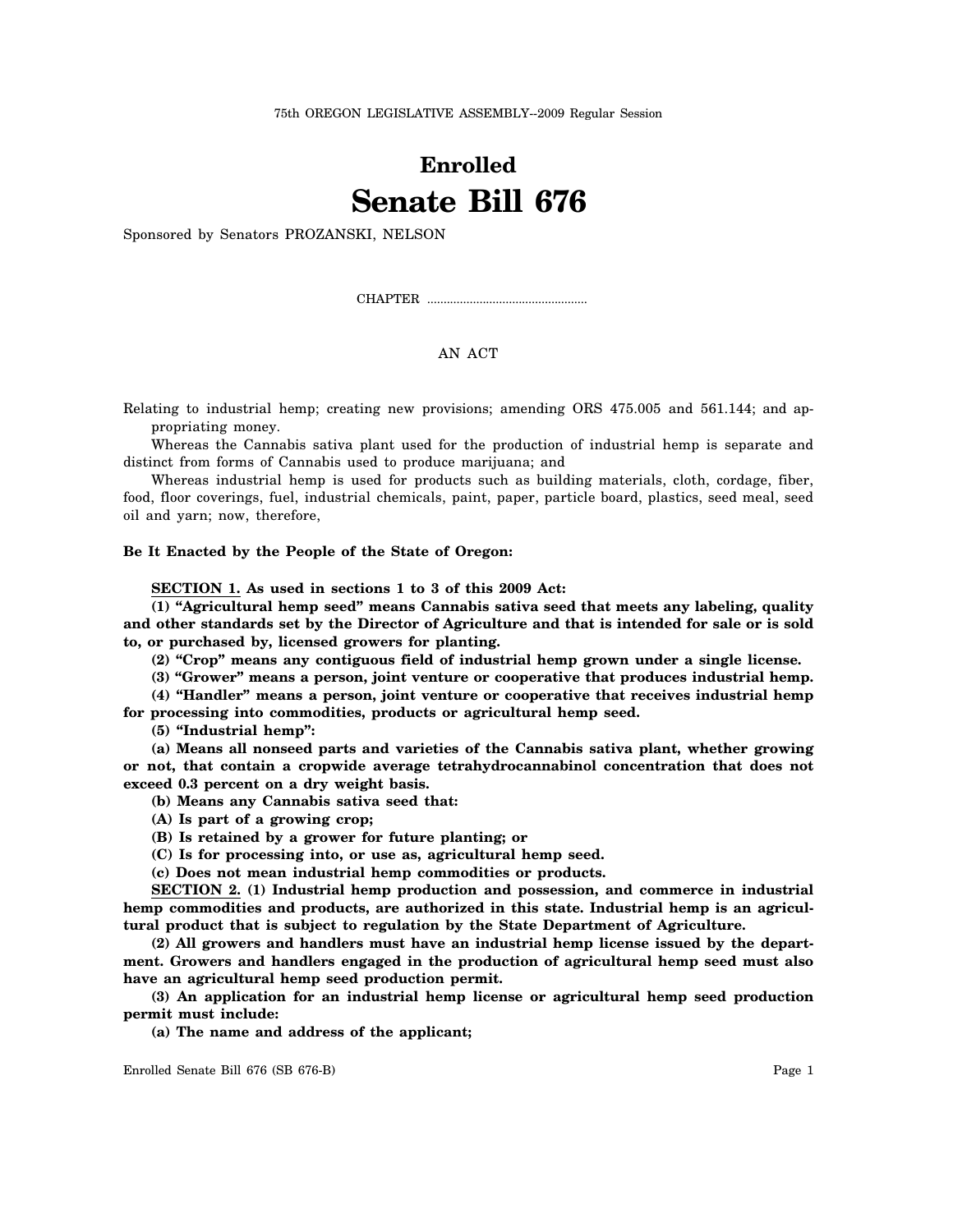## **Enrolled Senate Bill 676**

Sponsored by Senators PROZANSKI, NELSON

CHAPTER .................................................

## AN ACT

Relating to industrial hemp; creating new provisions; amending ORS 475.005 and 561.144; and appropriating money.

Whereas the Cannabis sativa plant used for the production of industrial hemp is separate and distinct from forms of Cannabis used to produce marijuana; and

Whereas industrial hemp is used for products such as building materials, cloth, cordage, fiber, food, floor coverings, fuel, industrial chemicals, paint, paper, particle board, plastics, seed meal, seed oil and yarn; now, therefore,

## **Be It Enacted by the People of the State of Oregon:**

**SECTION 1. As used in sections 1 to 3 of this 2009 Act:**

**(1) "Agricultural hemp seed" means Cannabis sativa seed that meets any labeling, quality and other standards set by the Director of Agriculture and that is intended for sale or is sold to, or purchased by, licensed growers for planting.**

**(2) "Crop" means any contiguous field of industrial hemp grown under a single license.**

**(3) "Grower" means a person, joint venture or cooperative that produces industrial hemp.**

**(4) "Handler" means a person, joint venture or cooperative that receives industrial hemp for processing into commodities, products or agricultural hemp seed.**

**(5) "Industrial hemp":**

**(a) Means all nonseed parts and varieties of the Cannabis sativa plant, whether growing or not, that contain a cropwide average tetrahydrocannabinol concentration that does not exceed 0.3 percent on a dry weight basis.**

**(b) Means any Cannabis sativa seed that:**

**(A) Is part of a growing crop;**

**(B) Is retained by a grower for future planting; or**

**(C) Is for processing into, or use as, agricultural hemp seed.**

**(c) Does not mean industrial hemp commodities or products.**

**SECTION 2. (1) Industrial hemp production and possession, and commerce in industrial** hemp commodities and products, are authorized in this state. Industrial hemp is an agricul**tural product that is subject to regulation by the State Department of Agriculture.**

**(2) All growers and handlers must have an industrial hemp license issued by the department. Growers and handlers engaged in the production of agricultural hemp seed must also have an agricultural hemp seed production permit.**

**(3) An application for an industrial hemp license or agricultural hemp seed production permit must include:**

**(a) The name and address of the applicant;**

Enrolled Senate Bill 676 (SB 676-B) Page 1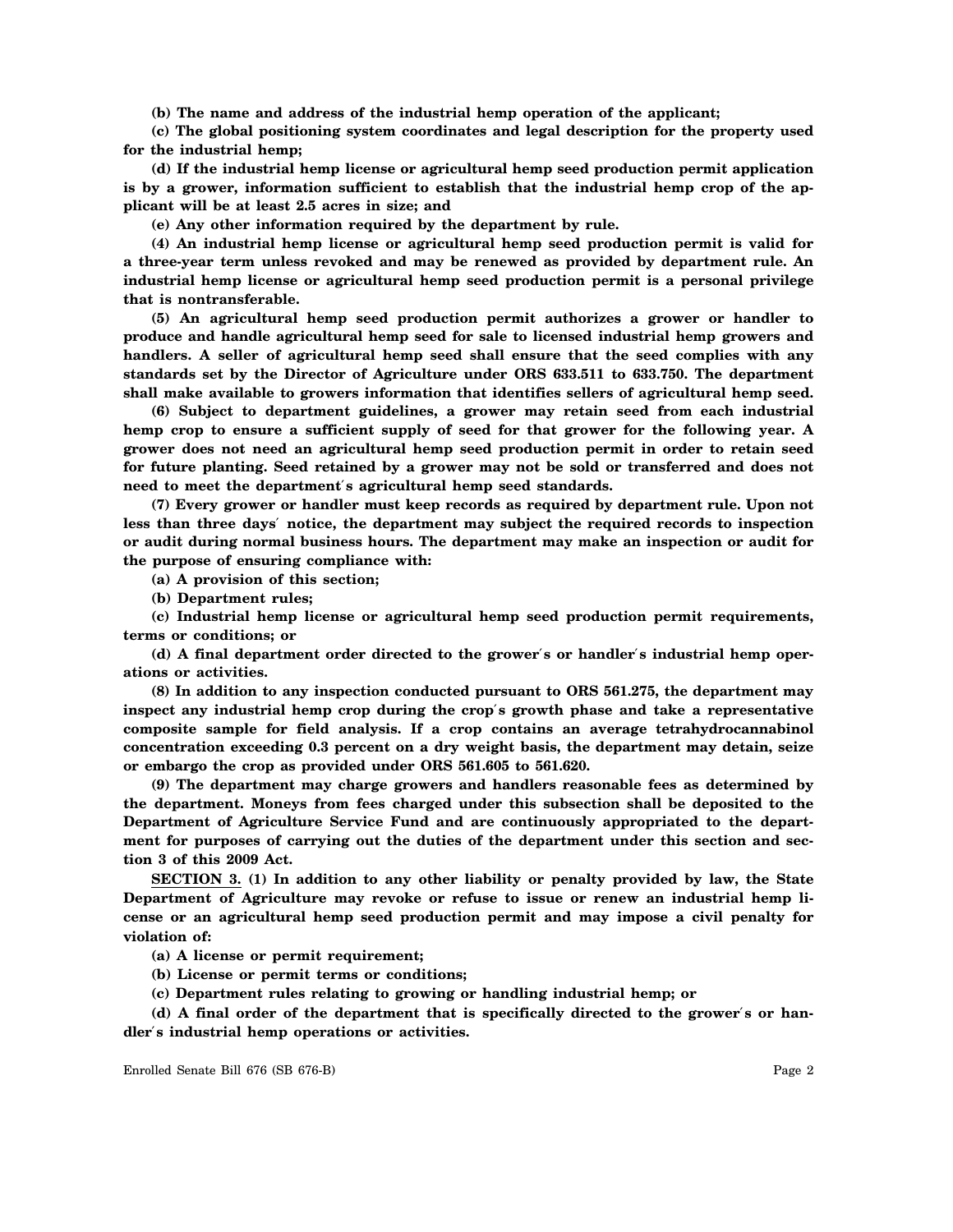**(b) The name and address of the industrial hemp operation of the applicant;**

**(c) The global positioning system coordinates and legal description for the property used for the industrial hemp;**

**(d) If the industrial hemp license or agricultural hemp seed production permit application is by a grower, information sufficient to establish that the industrial hemp crop of the applicant will be at least 2.5 acres in size; and**

**(e) Any other information required by the department by rule.**

**(4) An industrial hemp license or agricultural hemp seed production permit is valid for a three-year term unless revoked and may be renewed as provided by department rule. An industrial hemp license or agricultural hemp seed production permit is a personal privilege that is nontransferable.**

**(5) An agricultural hemp seed production permit authorizes a grower or handler to produce and handle agricultural hemp seed for sale to licensed industrial hemp growers and handlers. A seller of agricultural hemp seed shall ensure that the seed complies with any standards set by the Director of Agriculture under ORS 633.511 to 633.750. The department shall make available to growers information that identifies sellers of agricultural hemp seed.**

**(6) Subject to department guidelines, a grower may retain seed from each industrial hemp crop to ensure a sufficient supply of seed for that grower for the following year. A grower does not need an agricultural hemp seed production permit in order to retain seed for future planting. Seed retained by a grower may not be sold or transferred and does not need to meet the department**′**s agricultural hemp seed standards.**

**(7) Every grower or handler must keep records as required by department rule. Upon not less than three days**′ **notice, the department may subject the required records to inspection or audit during normal business hours. The department may make an inspection or audit for the purpose of ensuring compliance with:**

**(a) A provision of this section;**

**(b) Department rules;**

**(c) Industrial hemp license or agricultural hemp seed production permit requirements, terms or conditions; or**

**(d) A final department order directed to the grower**′**s or handler**′**s industrial hemp operations or activities.**

**(8) In addition to any inspection conducted pursuant to ORS 561.275, the department may inspect any industrial hemp crop during the crop**′**s growth phase and take a representative composite sample for field analysis. If a crop contains an average tetrahydrocannabinol concentration exceeding 0.3 percent on a dry weight basis, the department may detain, seize or embargo the crop as provided under ORS 561.605 to 561.620.**

**(9) The department may charge growers and handlers reasonable fees as determined by the department. Moneys from fees charged under this subsection shall be deposited to the Department of Agriculture Service Fund and are continuously appropriated to the department for purposes of carrying out the duties of the department under this section and section 3 of this 2009 Act.**

**SECTION 3. (1) In addition to any other liability or penalty provided by law, the State Department of Agriculture may revoke or refuse to issue or renew an industrial hemp license or an agricultural hemp seed production permit and may impose a civil penalty for violation of:**

**(a) A license or permit requirement;**

**(b) License or permit terms or conditions;**

**(c) Department rules relating to growing or handling industrial hemp; or**

**(d) A final order of the department that is specifically directed to the grower**′**s or handler**′**s industrial hemp operations or activities.**

Enrolled Senate Bill 676 (SB 676-B) Page 2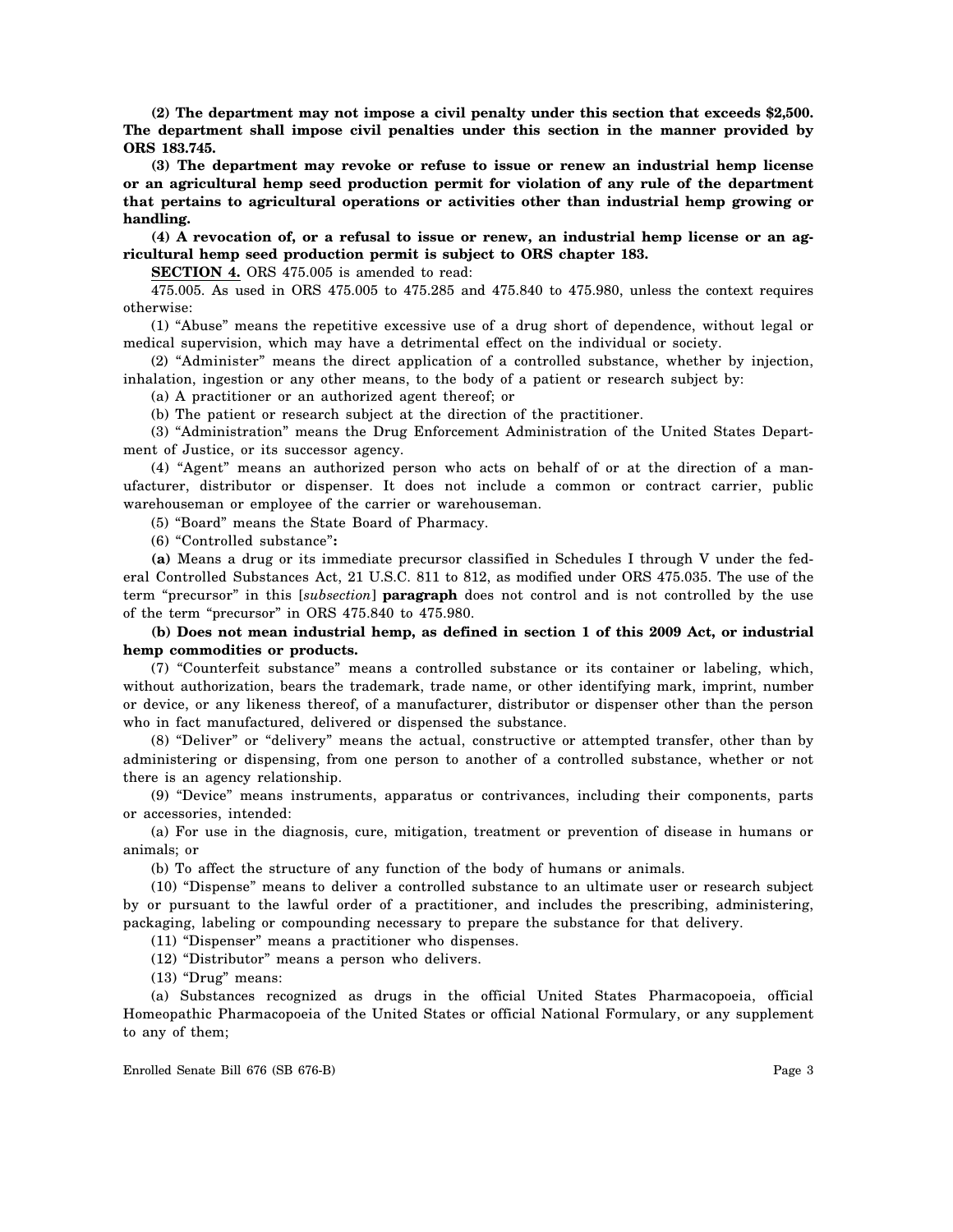**(2) The department may not impose a civil penalty under this section that exceeds \$2,500. The department shall impose civil penalties under this section in the manner provided by ORS 183.745.**

**(3) The department may revoke or refuse to issue or renew an industrial hemp license or an agricultural hemp seed production permit for violation of any rule of the department that pertains to agricultural operations or activities other than industrial hemp growing or handling.**

**(4) A revocation of, or a refusal to issue or renew, an industrial hemp license or an agricultural hemp seed production permit is subject to ORS chapter 183.**

**SECTION 4.** ORS 475.005 is amended to read:

475.005. As used in ORS 475.005 to 475.285 and 475.840 to 475.980, unless the context requires otherwise:

(1) "Abuse" means the repetitive excessive use of a drug short of dependence, without legal or medical supervision, which may have a detrimental effect on the individual or society.

(2) "Administer" means the direct application of a controlled substance, whether by injection, inhalation, ingestion or any other means, to the body of a patient or research subject by:

(a) A practitioner or an authorized agent thereof; or

(b) The patient or research subject at the direction of the practitioner.

(3) "Administration" means the Drug Enforcement Administration of the United States Department of Justice, or its successor agency.

(4) "Agent" means an authorized person who acts on behalf of or at the direction of a manufacturer, distributor or dispenser. It does not include a common or contract carrier, public warehouseman or employee of the carrier or warehouseman.

(5) "Board" means the State Board of Pharmacy.

(6) "Controlled substance"**:**

**(a)** Means a drug or its immediate precursor classified in Schedules I through V under the federal Controlled Substances Act, 21 U.S.C. 811 to 812, as modified under ORS 475.035. The use of the term "precursor" in this [*subsection*] **paragraph** does not control and is not controlled by the use of the term "precursor" in ORS 475.840 to 475.980.

**(b) Does not mean industrial hemp, as defined in section 1 of this 2009 Act, or industrial hemp commodities or products.**

(7) "Counterfeit substance" means a controlled substance or its container or labeling, which, without authorization, bears the trademark, trade name, or other identifying mark, imprint, number or device, or any likeness thereof, of a manufacturer, distributor or dispenser other than the person who in fact manufactured, delivered or dispensed the substance.

(8) "Deliver" or "delivery" means the actual, constructive or attempted transfer, other than by administering or dispensing, from one person to another of a controlled substance, whether or not there is an agency relationship.

(9) "Device" means instruments, apparatus or contrivances, including their components, parts or accessories, intended:

(a) For use in the diagnosis, cure, mitigation, treatment or prevention of disease in humans or animals; or

(b) To affect the structure of any function of the body of humans or animals.

(10) "Dispense" means to deliver a controlled substance to an ultimate user or research subject by or pursuant to the lawful order of a practitioner, and includes the prescribing, administering, packaging, labeling or compounding necessary to prepare the substance for that delivery.

(11) "Dispenser" means a practitioner who dispenses.

(12) "Distributor" means a person who delivers.

(13) "Drug" means:

(a) Substances recognized as drugs in the official United States Pharmacopoeia, official Homeopathic Pharmacopoeia of the United States or official National Formulary, or any supplement to any of them;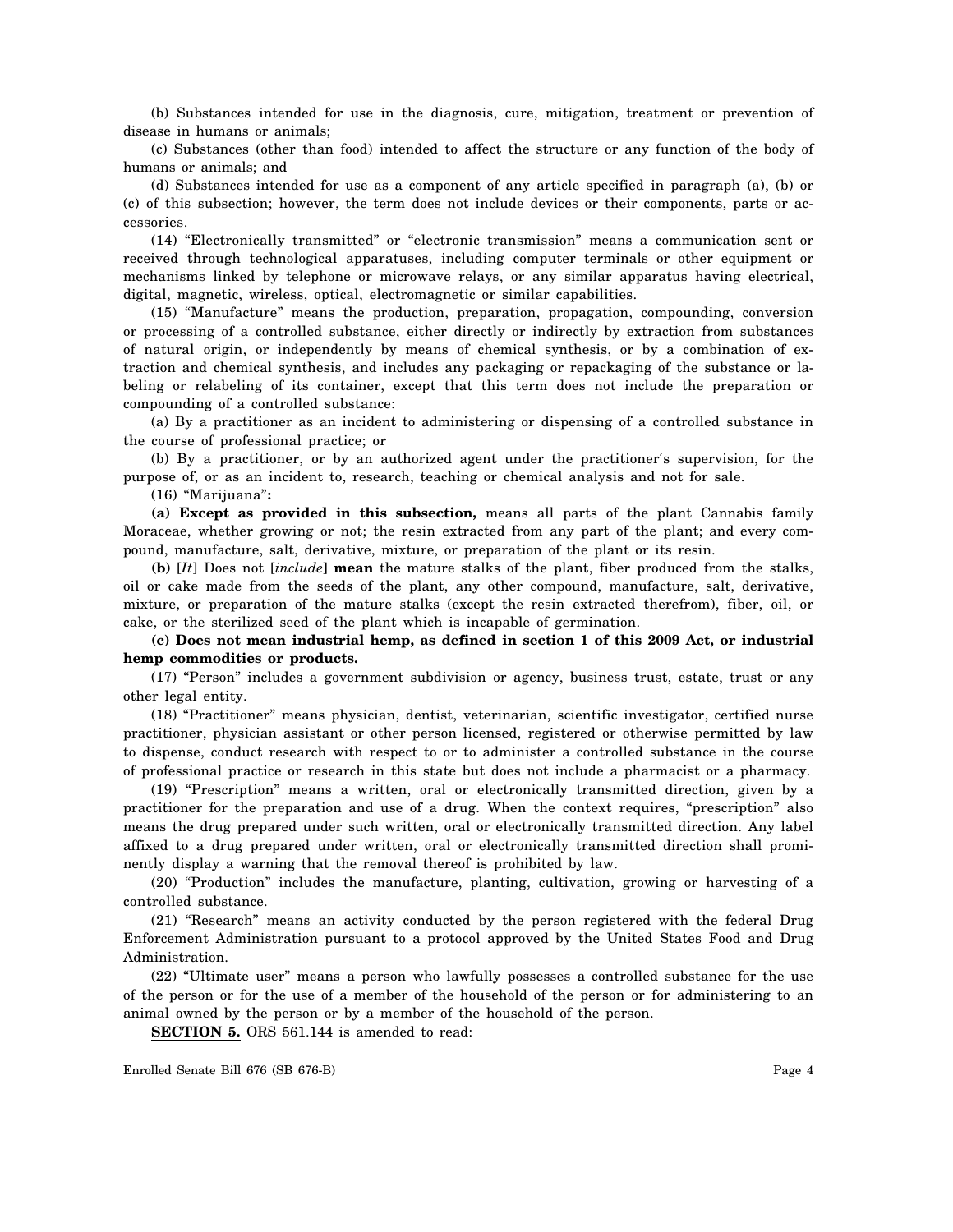(b) Substances intended for use in the diagnosis, cure, mitigation, treatment or prevention of disease in humans or animals;

(c) Substances (other than food) intended to affect the structure or any function of the body of humans or animals; and

(d) Substances intended for use as a component of any article specified in paragraph (a), (b) or (c) of this subsection; however, the term does not include devices or their components, parts or accessories.

(14) "Electronically transmitted" or "electronic transmission" means a communication sent or received through technological apparatuses, including computer terminals or other equipment or mechanisms linked by telephone or microwave relays, or any similar apparatus having electrical, digital, magnetic, wireless, optical, electromagnetic or similar capabilities.

(15) "Manufacture" means the production, preparation, propagation, compounding, conversion or processing of a controlled substance, either directly or indirectly by extraction from substances of natural origin, or independently by means of chemical synthesis, or by a combination of extraction and chemical synthesis, and includes any packaging or repackaging of the substance or labeling or relabeling of its container, except that this term does not include the preparation or compounding of a controlled substance:

(a) By a practitioner as an incident to administering or dispensing of a controlled substance in the course of professional practice; or

(b) By a practitioner, or by an authorized agent under the practitioner′s supervision, for the purpose of, or as an incident to, research, teaching or chemical analysis and not for sale.

(16) "Marijuana"**:**

**(a) Except as provided in this subsection,** means all parts of the plant Cannabis family Moraceae, whether growing or not; the resin extracted from any part of the plant; and every compound, manufacture, salt, derivative, mixture, or preparation of the plant or its resin.

**(b)** [*It*] Does not [*include*] **mean** the mature stalks of the plant, fiber produced from the stalks, oil or cake made from the seeds of the plant, any other compound, manufacture, salt, derivative, mixture, or preparation of the mature stalks (except the resin extracted therefrom), fiber, oil, or cake, or the sterilized seed of the plant which is incapable of germination.

**(c) Does not mean industrial hemp, as defined in section 1 of this 2009 Act, or industrial hemp commodities or products.**

(17) "Person" includes a government subdivision or agency, business trust, estate, trust or any other legal entity.

(18) "Practitioner" means physician, dentist, veterinarian, scientific investigator, certified nurse practitioner, physician assistant or other person licensed, registered or otherwise permitted by law to dispense, conduct research with respect to or to administer a controlled substance in the course of professional practice or research in this state but does not include a pharmacist or a pharmacy.

(19) "Prescription" means a written, oral or electronically transmitted direction, given by a practitioner for the preparation and use of a drug. When the context requires, "prescription" also means the drug prepared under such written, oral or electronically transmitted direction. Any label affixed to a drug prepared under written, oral or electronically transmitted direction shall prominently display a warning that the removal thereof is prohibited by law.

(20) "Production" includes the manufacture, planting, cultivation, growing or harvesting of a controlled substance.

(21) "Research" means an activity conducted by the person registered with the federal Drug Enforcement Administration pursuant to a protocol approved by the United States Food and Drug Administration.

(22) "Ultimate user" means a person who lawfully possesses a controlled substance for the use of the person or for the use of a member of the household of the person or for administering to an animal owned by the person or by a member of the household of the person.

**SECTION 5.** ORS 561.144 is amended to read:

Enrolled Senate Bill 676 (SB 676-B) Page 4